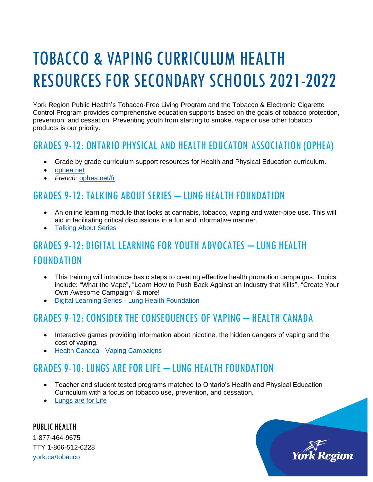# TOBACCO & VAPING CURRICULUM HEALTH RESOURCES FOR SECONDARY SCHOOLS 2021-2022

York Region Public Health's Tobacco-Free Living Program and the Tobacco & Electronic Cigarette Control Program provides comprehensive education supports based on the goals of tobacco protection, prevention, and cessation. Preventing youth from starting to smoke, vape or use other tobacco products is our priority.

## GRADES 9-12: ONTARIO PHYSICAL AND HEALTH EDUCATON ASSOCIATION (OPHEA)

- Grade by grade curriculum support resources for Health and Physical Education curriculum.
- [ophea.net](http://www.ophea.net/)
- *French:* [ophea.net/fr](http://www.ophea.net/fr)

#### GRADES 9-12: TALKING ABOUT SERIES – LUNG HEALTH FOUNDATION

- An online learning module that looks at cannabis, tobacco, vaping and water-pipe use. This will aid in facilitating critical discussions in a fun and informative manner*.*
- [Talking About Series](https://lunghealth.ca/support-resources/digital-learning-centre/talking-about-series/)

# GRADES 9-12: DIGITAL LEARNING FOR YOUTH ADVOCATES – LUNG HEALTH FOUNDATION

- This training will introduce basic steps to creating effective health promotion campaigns. Topics include: "What the Vape", "Learn How to Push Back Against an Industry that Kills", "Create Your Own Awesome Campaign" & more!
- Digital Learning Series [Lung Health Foundation](https://lunghealth.ca/support-resources/digital-learning-centre/youth-advocates/)

#### GRADES 9-12: CONSIDER THE CONSEQUENCES OF VAPING – HEALTH CANADA

- Interactive games providing information about nicotine, the hidden dangers of vaping and the cost of vaping.
- Health Canada [Vaping Campaigns](https://www.canada.ca/en/services/health/campaigns/vaping.html?utm_source=canada-ca-vaping-info-en&utm_medium=vurl&utm_campaign=vurl)

## GRADES 9-10: LUNGS ARE FOR LIFE – LUNG HEALTH FOUNDATION

- Teacher and student tested programs matched to Ontario's Health and Physical Education Curriculum with a focus on tobacco use, prevention, and cessation.
- [Lungs are for Life](http://www.lunghealth.ca/)

PUBLIC HEALTH 1-877-464-9675 TTY 1-866-512-6228 [york.ca/tobacco](http://www.york.ca/tobacco)